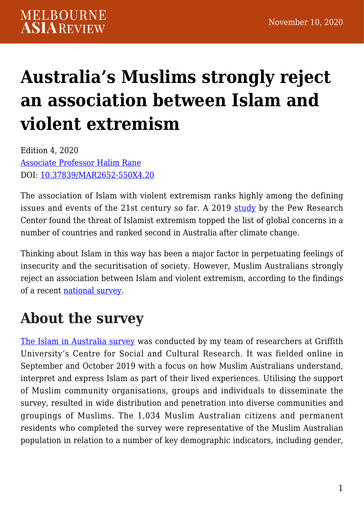# **[Australia's Muslims strongly reject](https://melbourneasiareview.edu.au/australias-muslims-strongly-reject-an-association-of-islam-with-violent-extremism/) [an association between Islam and](https://melbourneasiareview.edu.au/australias-muslims-strongly-reject-an-association-of-islam-with-violent-extremism/) [violent extremism](https://melbourneasiareview.edu.au/australias-muslims-strongly-reject-an-association-of-islam-with-violent-extremism/)**

Edition 4, 2020 [Associate Professor Halim Rane](https://experts.griffith.edu.au/7184-halim-rane) DOI: 10.37839/MAR2652-550X4.20

The association of Islam with violent extremism ranks highly among the defining issues and events of the 21st century so far. A 2019 [study](https://www.pewresearch.org/global/2019/02/10/climate-change-still-seen-as-the-top-global-threat-but-cyberattacks-a-rising-concern/) by the Pew Research Center found the threat of Islamist extremism topped the list of global concerns in a number of countries and ranked second in Australia after climate change.

Thinking about Islam in this way has been a major factor in perpetuating feelings of insecurity and the securitisation of society. However, Muslim Australians strongly reject an association between Islam and violent extremism, according to the findings of a recent [national survey.](https://www.mdpi.com/2077-1444/11/8/419/htm)

# **About the survey**

[The Islam in Australia survey](https://www.mdpi.com/2077-1444/11/8/419/htm) was conducted by my team of researchers at Griffith University's Centre for Social and Cultural Research. It was fielded online in September and October 2019 with a focus on how Muslim Australians understand, interpret and express Islam as part of their lived experiences. Utilising the support of Muslim community organisations, groups and individuals to disseminate the survey, resulted in wide distribution and penetration into diverse communities and groupings of Muslims. The 1,034 Muslim Australian citizens and permanent residents who completed the survey were representative of the Muslim Australian population in relation to a number of key demographic indicators, including gender,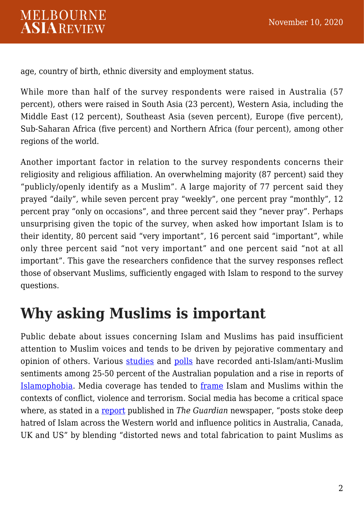age, country of birth, ethnic diversity and employment status.

While more than half of the survey respondents were raised in Australia (57 percent), others were raised in South Asia (23 percent), Western Asia, including the Middle East (12 percent), Southeast Asia (seven percent), Europe (five percent), Sub-Saharan Africa (five percent) and Northern Africa (four percent), among other regions of the world.

Another important factor in relation to the survey respondents concerns their religiosity and religious affiliation. An overwhelming majority (87 percent) said they "publicly/openly identify as a Muslim". A large majority of 77 percent said they prayed "daily", while seven percent pray "weekly", one percent pray "monthly", 12 percent pray "only on occasions", and three percent said they "never pray". Perhaps unsurprising given the topic of the survey, when asked how important Islam is to their identity, 80 percent said "very important", 16 percent said "important", while only three percent said "not very important" and one percent said "not at all important". This gave the researchers confidence that the survey responses reflect those of observant Muslims, sufficiently engaged with Islam to respond to the survey questions.

# **Why asking Muslims is important**

Public debate about issues concerning Islam and Muslims has paid insufficient attention to Muslim voices and tends to be driven by pejorative commentary and opinion of others. Various [studies](https://journals.sagepub.com/doi/10.1177/1468796807084017) and [polls](https://essentialvision.com.au/ban-on-muslim-immigration) have recorded anti-Islam/anti-Muslim sentiments among 25-50 percent of the Australian population and a rise in reports of [Islamophobia](https://news.csu.edu.au/latest-news/islamophobia-continues-in-australia-2019-report). Media coverage has tended to [frame](https://www.palgrave.com/gp/book/9781137334817) Islam and Muslims within the contexts of conflict, violence and terrorism. Social media has become a critical space where, as stated in a [report](https://www.theguardian.com/australia-news/2019/dec/06/inside-the-hate-factory-how-facebook-fuels-far-right-profit) published in *The Guardian* newspaper, "posts stoke deep hatred of Islam across the Western world and influence politics in Australia, Canada, UK and US" by blending "distorted news and total fabrication to paint Muslims as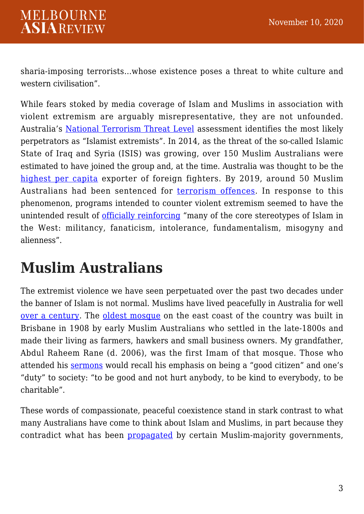sharia-imposing terrorists…whose existence poses a threat to white culture and western civilisation".

While fears stoked by media coverage of Islam and Muslims in association with violent extremism are arguably misrepresentative, they are not unfounded. Australia's [National Terrorism Threat Level](https://www.nationalsecurity.gov.au/Securityandyourcommunity/Pages/National-Terrorism-Threat-Advisory-System.aspx) assessment identifies the most likely perpetrators as "Islamist extremists". In 2014, as the threat of the so-called Islamic State of Iraq and Syria (ISIS) was growing, over 150 Muslim Australians were estimated to have joined the group and, at the time. Australia was thought to be the [highest per capita](https://time.com/2911040/australia-isis-syria-iraq-%20terrorism/) exporter of foreign fighters. By 2019, around 50 Muslim Australians had been sentenced for [terrorism offences](https://www.mdpi.com/2077-1444/10/4/246). In response to this phenomenon, programs intended to counter violent extremism seemed to have the unintended result of [officially reinforcing](https://www.tandfonline.com/doi/abs/10.1080/00049182.2016.1191132) "many of the core stereotypes of Islam in the West: militancy, fanaticism, intolerance, fundamentalism, misogyny and alienness".

## **Muslim Australians**

The extremist violence we have seen perpetuated over the past two decades under the banner of Islam is not normal. Muslims have lived peacefully in Australia for well [over a century.](https://www.palgrave.com/gp/book/9783319925097) The [oldest mosque](https://www.amazon.com/100-Years-History-Holland-1908-2008/dp/0646501259) on the east coast of the country was built in Brisbane in 1908 by early Muslim Australians who settled in the late-1800s and made their living as farmers, hawkers and small business owners. My grandfather, Abdul Raheem Rane (d. 2006), was the first Imam of that mosque. Those who attended his [sermons](https://www.facebook.com/154422604695132/videos/512899325877497) would recall his emphasis on being a "good citizen" and one's "duty" to society: "to be good and not hurt anybody, to be kind to everybody, to be charitable".

These words of compassionate, peaceful coexistence stand in stark contrast to what many Australians have come to think about Islam and Muslims, in part because they contradict what has been [propagated](https://press.princeton.edu/books/hardcover/9780691144214/the-emancipation-of-europes-muslims) by certain Muslim-majority governments,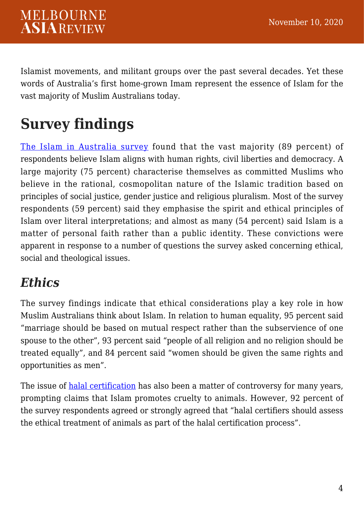Islamist movements, and militant groups over the past several decades. Yet these words of Australia's first home-grown Imam represent the essence of Islam for the vast majority of Muslim Australians today.

# **Survey findings**

[The Islam in Australia survey](https://www.mdpi.com/2077-1444/11/8/419/htm) found that the vast majority (89 percent) of respondents believe Islam aligns with human rights, civil liberties and democracy. A large majority (75 percent) characterise themselves as committed Muslims who believe in the rational, cosmopolitan nature of the Islamic tradition based on principles of social justice, gender justice and religious pluralism. Most of the survey respondents (59 percent) said they emphasise the spirit and ethical principles of Islam over literal interpretations; and almost as many (54 percent) said Islam is a matter of personal faith rather than a public identity. These convictions were apparent in response to a number of questions the survey asked concerning ethical, social and theological issues.

### *Ethics*

The survey findings indicate that ethical considerations play a key role in how Muslim Australians think about Islam. In relation to human equality, 95 percent said "marriage should be based on mutual respect rather than the subservience of one spouse to the other", 93 percent said "people of all religion and no religion should be treated equally", and 84 percent said "women should be given the same rights and opportunities as men".

The issue of [halal certification](https://www.abc.net.au/news/2015-04-14/fact-check-does-halal-certification-fund-terrorism/6383238?nw=0) has also been a matter of controversy for many years, prompting claims that Islam promotes cruelty to animals. However, 92 percent of the survey respondents agreed or strongly agreed that "halal certifiers should assess the ethical treatment of animals as part of the halal certification process".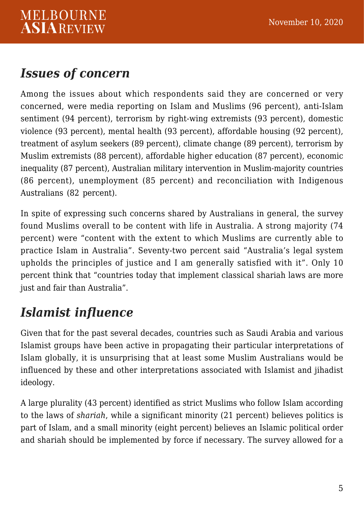#### *Issues of concern*

Among the issues about which respondents said they are concerned or very concerned, were media reporting on Islam and Muslims (96 percent), anti-Islam sentiment (94 percent), terrorism by right-wing extremists (93 percent), domestic violence (93 percent), mental health (93 percent), affordable housing (92 percent), treatment of asylum seekers (89 percent), climate change (89 percent), terrorism by Muslim extremists (88 percent), affordable higher education (87 percent), economic inequality (87 percent), Australian military intervention in Muslim-majority countries (86 percent), unemployment (85 percent) and reconciliation with Indigenous Australians (82 percent).

In spite of expressing such concerns shared by Australians in general, the survey found Muslims overall to be content with life in Australia. A strong majority (74 percent) were "content with the extent to which Muslims are currently able to practice Islam in Australia". Seventy-two percent said "Australia's legal system upholds the principles of justice and I am generally satisfied with it". Only 10 percent think that "countries today that implement classical shariah laws are more just and fair than Australia".

### *Islamist influence*

Given that for the past several decades, countries such as Saudi Arabia and various Islamist groups have been active in propagating their particular interpretations of Islam globally, it is unsurprising that at least some Muslim Australians would be influenced by these and other interpretations associated with Islamist and jihadist ideology.

A large plurality (43 percent) identified as strict Muslims who follow Islam according to the laws of *shariah*, while a significant minority (21 percent) believes politics is part of Islam, and a small minority (eight percent) believes an Islamic political order and shariah should be implemented by force if necessary. The survey allowed for a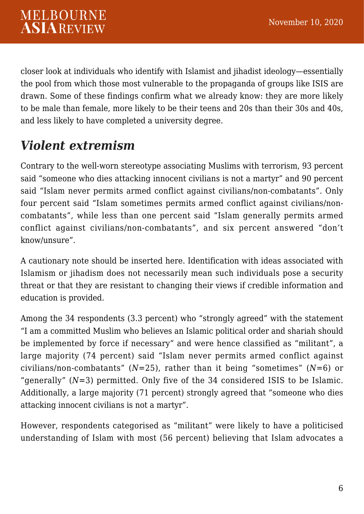closer look at individuals who identify with Islamist and jihadist ideology—essentially the pool from which those most vulnerable to the propaganda of groups like ISIS are drawn. Some of these findings confirm what we already know: they are more likely to be male than female, more likely to be their teens and 20s than their 30s and 40s, and less likely to have completed a university degree.

### *Violent extremism*

Contrary to the well-worn stereotype associating Muslims with terrorism, 93 percent said "someone who dies attacking innocent civilians is not a martyr" and 90 percent said "Islam never permits armed conflict against civilians/non-combatants". Only four percent said "Islam sometimes permits armed conflict against civilians/noncombatants", while less than one percent said "Islam generally permits armed conflict against civilians/non-combatants", and six percent answered "don't know/unsure".

A cautionary note should be inserted here. Identification with ideas associated with Islamism or jihadism does not necessarily mean such individuals pose a security threat or that they are resistant to changing their views if credible information and education is provided.

Among the 34 respondents (3.3 percent) who "strongly agreed" with the statement "I am a committed Muslim who believes an Islamic political order and shariah should be implemented by force if necessary" and were hence classified as "militant", a large majority (74 percent) said "Islam never permits armed conflict against civilians/non-combatants" (*N*=25), rather than it being "sometimes" (*N*=6) or "generally"  $(N=3)$  permitted. Only five of the 34 considered ISIS to be Islamic. Additionally, a large majority (71 percent) strongly agreed that "someone who dies attacking innocent civilians is not a martyr".

However, respondents categorised as "militant" were likely to have a politicised understanding of Islam with most (56 percent) believing that Islam advocates a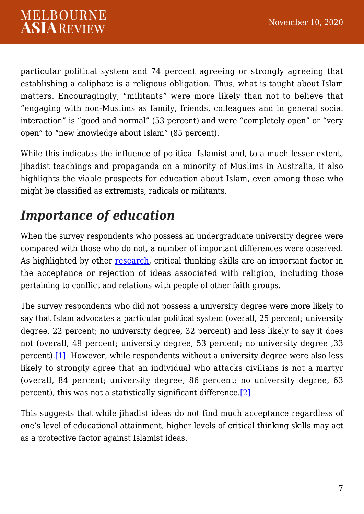particular political system and 74 percent agreeing or strongly agreeing that establishing a caliphate is a religious obligation. Thus, what is taught about Islam matters. Encouragingly, "militants" were more likely than not to believe that "engaging with non-Muslims as family, friends, colleagues and in general social interaction" is "good and normal" (53 percent) and were "completely open" or "very open" to "new knowledge about Islam" (85 percent).

While this indicates the influence of political Islamist and, to a much lesser extent, jihadist teachings and propaganda on a minority of Muslims in Australia, it also highlights the viable prospects for education about Islam, even among those who might be classified as extremists, radicals or militants.

### *Importance of education*

When the survey respondents who possess an undergraduate university degree were compared with those who do not, a number of important differences were observed. As highlighted by other [research,](https://www.britishcouncil.org/sites/default/files/immunising_the_mind_working_paper.pdf) critical thinking skills are an important factor in the acceptance or rejection of ideas associated with religion, including those pertaining to conflict and relations with people of other faith groups.

<span id="page-6-0"></span>The survey respondents who did not possess a university degree were more likely to say that Islam advocates a particular political system (overall, 25 percent; university degree, 22 percent; no university degree, 32 percent) and less likely to say it does not (overall, 49 percent; university degree, 53 percent; no university degree ,33 percent)[.\[1\]](#page-7-0) However, while respondents without a university degree were also less likely to strongly agree that an individual who attacks civilians is not a martyr (overall, 84 percent; university degree, 86 percent; no university degree, 63 percent), this was not a statistically significant difference.[\[2\]](#page-7-1)

<span id="page-6-1"></span>This suggests that while jihadist ideas do not find much acceptance regardless of one's level of educational attainment, higher levels of critical thinking skills may act as a protective factor against Islamist ideas.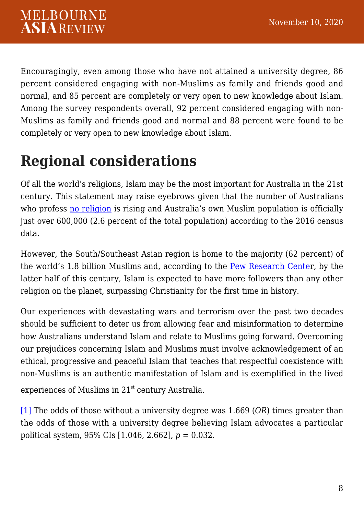Encouragingly, even among those who have not attained a university degree, 86 percent considered engaging with non-Muslims as family and friends good and normal, and 85 percent are completely or very open to new knowledge about Islam. Among the survey respondents overall, 92 percent considered engaging with non-Muslims as family and friends good and normal and 88 percent were found to be completely or very open to new knowledge about Islam.

# **Regional considerations**

Of all the world's religions, Islam may be the most important for Australia in the 21st century. This statement may raise eyebrows given that the number of Australians who profess [no religion](https://www.abs.gov.au/AUSSTATS/abs@.nsf/mediareleasesbyReleaseDate/8497F7A8E7DB5BEFCA25821800203DA4?OpenDocument) is rising and Australia's own Muslim population is officially just over 600,000 (2.6 percent of the total population) according to the 2016 census data.

However, the South/Southeast Asian region is home to the majority (62 percent) of the world's 1.8 billion Muslims and, according to the [Pew Research Cente](https://www.pewresearch.org/fact-tank/2017/04/06/why-muslims-are-the-worlds-fastest-growing-religious-group/)r, by the latter half of this century, Islam is expected to have more followers than any other religion on the planet, surpassing Christianity for the first time in history.

Our experiences with devastating wars and terrorism over the past two decades should be sufficient to deter us from allowing fear and misinformation to determine how Australians understand Islam and relate to Muslims going forward. Overcoming our prejudices concerning Islam and Muslims must involve acknowledgement of an ethical, progressive and peaceful Islam that teaches that respectful coexistence with non-Muslims is an authentic manifestation of Islam and is exemplified in the lived

experiences of Muslims in  $21<sup>st</sup>$  century Australia.

<span id="page-7-1"></span><span id="page-7-0"></span>[\[1\]](#page-6-0) The odds of those without a university degree was 1.669 (*OR*) times greater than the odds of those with a university degree believing Islam advocates a particular political system, 95% CIs [1.046, 2.662], *p* = 0.032.